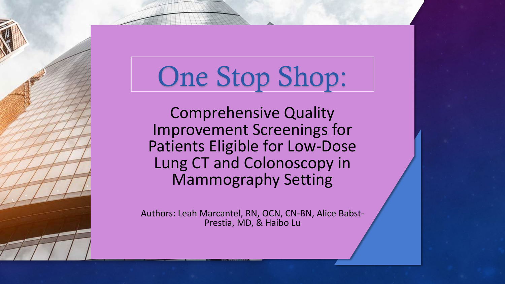# One Stop Shop:

Comprehensive Quality Improvement Screenings for Patients Eligible for Low-Dose Lung CT and Colonoscopy in Mammography Setting

Authors: Leah Marcantel, RN, OCN, CN-BN, Alice Babst- Prestia, MD, & Haibo Lu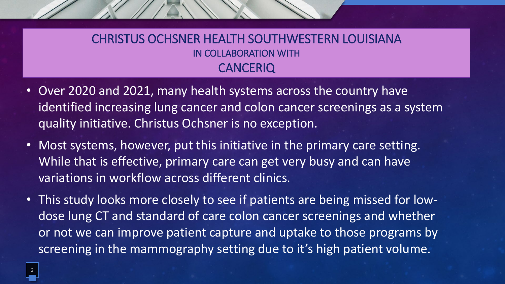#### CHRISTUS OCHSNER HEALTH SOUTHWESTERN LOUISIANA IN COLLABORATION WITH **CANCERIQ**

- Over 2020 and 2021, many health systems across the country have identified increasing lung cancer and colon cancer screenings as a system quality initiative. Christus Ochsner is no exception.
- Most systems, however, put this initiative in the primary care setting. While that is effective, primary care can get very busy and can have variations in workflow across different clinics.
- This study looks more closely to see if patients are being missed for lowdose lung CT and standard of care colon cancer screenings and whether or not we can improve patient capture and uptake to those programs by screening in the mammography setting due to it's high patient volume.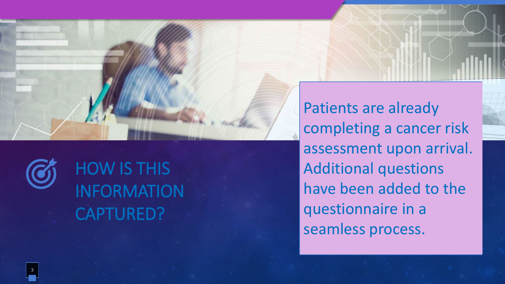

HOW IS THIS INFORMATION CAPTURED?

Patients are already completing a cancer risk assessment upon arrival. Additional questions have been added to the questionnaire in a seamless process.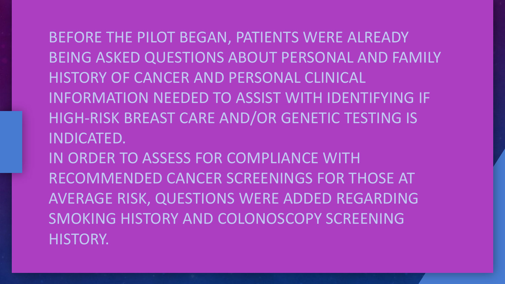BEFORE THE PILOT BEGAN, PATIENTS WERE ALREADY BEING ASKED QUESTIONS ABOUT PERSONAL AND FAMILY HISTORY OF CANCER AND PERSONAL CLINICAL INFORMATION NEEDED TO ASSIST WITH IDENTIFYING IF HIGH-RISK BREAST CARE AND/OR GENETIC TESTING IS INDICATED. IN ORDER TO ASSESS FOR COMPLIANCE WITH RECOMMENDED CANCER SCREENINGS FOR THOSE AT AVERAGE RISK, QUESTIONS WERE ADDED REGARDING SMOKING HISTORY AND COLONOSCOPY SCREENING HISTORY.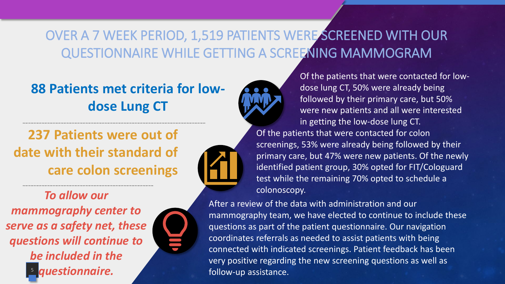#### OVER A 7 WEEK PERIOD, 1,519 PATIENTS WERE SCREENED WITH OUR QUESTIONNAIRE WHILE GETTING A SCREENING MAMMOGRAM

**88 Patients met criteria for lowdose Lung CT** 

### **237 Patients were out of date with their standard of care colon screenings**

*To allow our* 

5 *mammography center to serve as a safety net, these questions will continue to be included in the questionnaire.* 





identified patient group, 30% opted for FIT/Cologuard test while the remaining 70% opted to schedule a colonoscopy.

After a review of the data with administration and our mammography team, we have elected to continue to include these questions as part of the patient questionnaire. Our navigation coordinates referrals as needed to assist patients with being connected with indicated screenings. Patient feedback has been very positive regarding the new screening questions as well as follow-up assistance.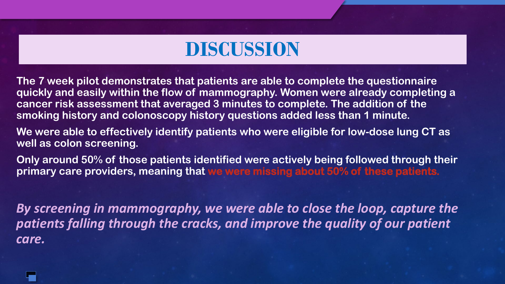### **DISCUSSION**

**The 7 week pilot demonstrates that patients are able to complete the questionnaire quickly and easily within the flow of mammography. Women were already completing a cancer risk assessment that averaged 3 minutes to complete. The addition of the smoking history and colonoscopy history questions added less than 1 minute.**

**We were able to effectively identify patients who were eligible for low-dose lung CT as well as colon screening.**

**Only around 50% of those patients identified were actively being followed through their primary care providers, meaning that we were missing about 50% of these patients.** 

*By screening in mammography, we were able to close the loop, capture the patients falling through the cracks, and improve the quality of our patient care.*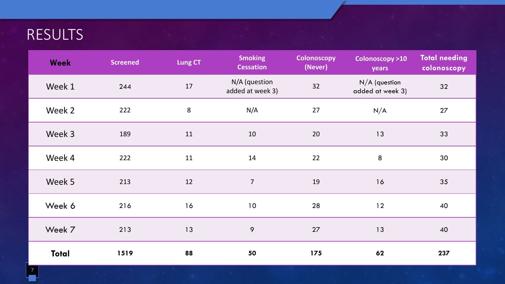### RESULTS

| <b>Week</b>  | <b>Screened</b> | Lung CT | <b>Smoking</b><br><b>Cessation</b> | <b>Colonoscopy</b><br>(Never) | Colonoscopy >10<br>years            | <b>Total needing</b><br>colonoscopy |
|--------------|-----------------|---------|------------------------------------|-------------------------------|-------------------------------------|-------------------------------------|
| Week 1       | 244             | 17      | N/A (question<br>added at week 3)  | 32                            | $N/A$ (question<br>added at week 3) | 32                                  |
| Week 2       | 222             | $\,8\,$ | N/A                                | 27                            | N/A                                 | 27                                  |
| Week 3       | 189             | 11      | 10                                 | 20                            | 13                                  | 33                                  |
| Week 4       | 222             | 11      | 14                                 | 22                            | $\bf 8$                             | 30                                  |
| Week 5       | 213             | 12      | $\overline{7}$                     | 19                            | 16                                  | 35                                  |
| Week 6       | 216             | 16      | 10                                 | 28                            | 12                                  | 40                                  |
| Week 7       | 213             | 13      | 9                                  | 27                            | 13                                  | 40                                  |
| <b>Total</b> | 1519            | 88      | 50                                 | 175                           | 62                                  | 237                                 |